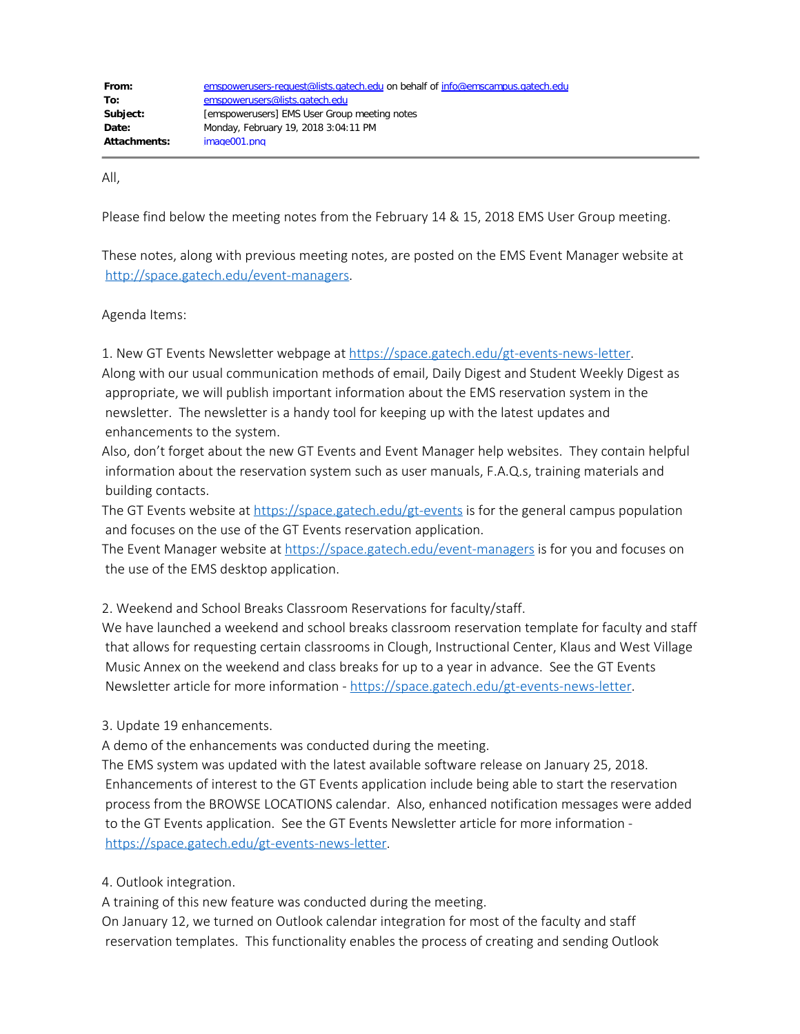| From:        | emspowerusers-request@lists.gatech.edu on behalf of info@emscampus.gatech.edu |
|--------------|-------------------------------------------------------------------------------|
| To:          | emspowerusers@lists.gatech.edu                                                |
| Subject:     | [emspowerusers] EMS User Group meeting notes                                  |
| Date:        | Monday, February 19, 2018 3:04:11 PM                                          |
| Attachments: | image001.png                                                                  |

All,

Please find below the meeting notes from the February 14 & 15, 2018 EMS User Group meeting.

These notes, along with previous meeting notes, are posted on the EMS Event Manager website at <http://space.gatech.edu/event-managers>.

Agenda Items:

1. New GT Events Newsletter webpage at <https://space.gatech.edu/gt-events-news-letter>.

Along with our usual communication methods of email, Daily Digest and Student Weekly Digest as appropriate, we will publish important information about the EMS reservation system in the newsletter. The newsletter is a handy tool for keeping up with the latest updates and enhancements to the system.

Also, don't forget about the new GT Events and Event Manager help websites. They contain helpful information about the reservation system such as user manuals, F.A.Q.s, training materials and building contacts.

The GT Events website at <https://space.gatech.edu/gt-events> is for the general campus population and focuses on the use of the GT Events reservation application.

The Event Manager website at <https://space.gatech.edu/event-managers> is for you and focuses on the use of the EMS desktop application.

2. Weekend and School Breaks Classroom Reservations for faculty/staff.

We have launched a weekend and school breaks classroom reservation template for faculty and staff that allows for requesting certain classrooms in Clough, Instructional Center, Klaus and West Village Music Annex on the weekend and class breaks for up to a year in advance. See the GT Events Newsletter article for more information - <https://space.gatech.edu/gt-events-news-letter>.

3. Update 19 enhancements.

A demo of the enhancements was conducted during the meeting.

The EMS system was updated with the latest available software release on January 25, 2018. Enhancements of interest to the GT Events application include being able to start the reservation process from the BROWSE LOCATIONS calendar. Also, enhanced notification messages were added to the GT Events application. See the GT Events Newsletter article for more information <https://space.gatech.edu/gt-events-news-letter>.

4. Outlook integration.

A training of this new feature was conducted during the meeting.

On January 12, we turned on Outlook calendar integration for most of the faculty and staff reservation templates. This functionality enables the process of creating and sending Outlook